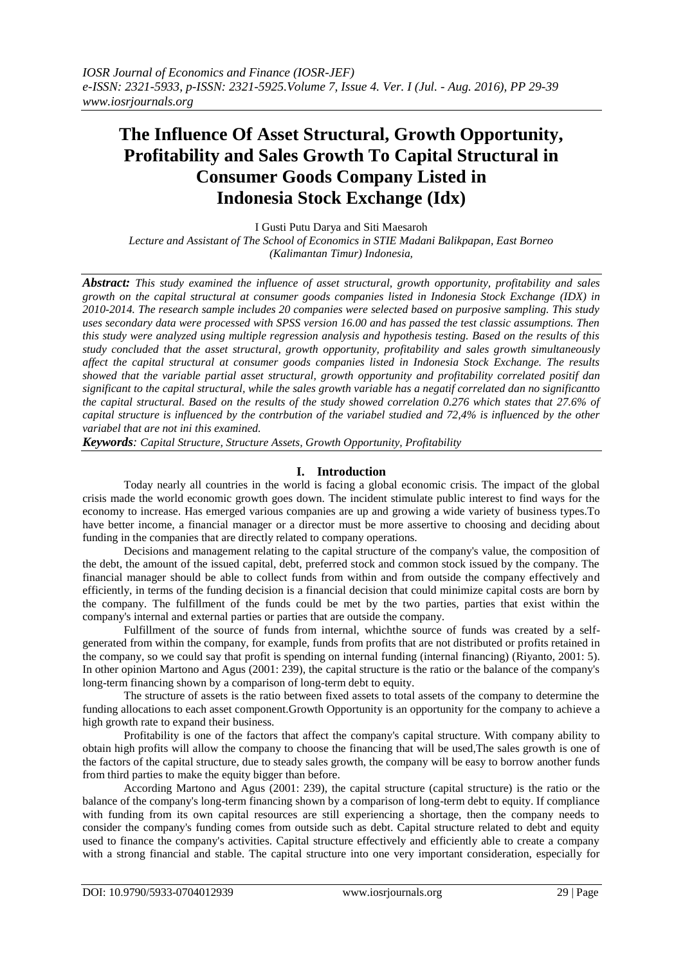# **The Influence Of Asset Structural, Growth Opportunity, Profitability and Sales Growth To Capital Structural in Consumer Goods Company Listed in Indonesia Stock Exchange (Idx)**

I Gusti Putu Darya and Siti Maesaroh *Lecture and Assistant of The School of Economics in STIE Madani Balikpapan, East Borneo (Kalimantan Timur) Indonesia,*

*Abstract: This study examined the influence of asset structural, growth opportunity, profitability and sales growth on the capital structural at consumer goods companies listed in Indonesia Stock Exchange (IDX) in 2010-2014. The research sample includes 20 companies were selected based on purposive sampling. This study uses secondary data were processed with SPSS version 16.00 and has passed the test classic assumptions. Then this study were analyzed using multiple regression analysis and hypothesis testing. Based on the results of this study concluded that the asset structural, growth opportunity, profitability and sales growth simultaneously affect the capital structural at consumer goods companies listed in Indonesia Stock Exchange. The results showed that the variable partial asset structural, growth opportunity and profitability correlated positif dan significant to the capital structural, while the sales growth variable has a negatif correlated dan no significantto the capital structural. Based on the results of the study showed correlation 0.276 which states that 27.6% of capital structure is influenced by the contrbution of the variabel studied and 72,4% is influenced by the other variabel that are not ini this examined.*

*Keywords: Capital Structure, Structure Assets, Growth Opportunity, Profitability*

# **I. Introduction**

Today nearly all countries in the world is facing a global economic crisis. The impact of the global crisis made the world economic growth goes down. The incident stimulate public interest to find ways for the economy to increase. Has emerged various companies are up and growing a wide variety of business types.To have better income, a financial manager or a director must be more assertive to choosing and deciding about funding in the companies that are directly related to company operations.

Decisions and management relating to the capital structure of the company's value, the composition of the debt, the amount of the issued capital, debt, preferred stock and common stock issued by the company. The financial manager should be able to collect funds from within and from outside the company effectively and efficiently, in terms of the funding decision is a financial decision that could minimize capital costs are born by the company. The fulfillment of the funds could be met by the two parties, parties that exist within the company's internal and external parties or parties that are outside the company.

Fulfillment of the source of funds from internal, whichthe source of funds was created by a selfgenerated from within the company, for example, funds from profits that are not distributed or profits retained in the company, so we could say that profit is spending on internal funding (internal financing) (Riyanto, 2001: 5). In other opinion Martono and Agus (2001: 239), the capital structure is the ratio or the balance of the company's long-term financing shown by a comparison of long-term debt to equity.

The structure of assets is the ratio between fixed assets to total assets of the company to determine the funding allocations to each asset component.Growth Opportunity is an opportunity for the company to achieve a high growth rate to expand their business.

Profitability is one of the factors that affect the company's capital structure. With company ability to obtain high profits will allow the company to choose the financing that will be used,The sales growth is one of the factors of the capital structure, due to steady sales growth, the company will be easy to borrow another funds from third parties to make the equity bigger than before.

According Martono and Agus (2001: 239), the capital structure (capital structure) is the ratio or the balance of the company's long-term financing shown by a comparison of long-term debt to equity. If compliance with funding from its own capital resources are still experiencing a shortage, then the company needs to consider the company's funding comes from outside such as debt. Capital structure related to debt and equity used to finance the company's activities. Capital structure effectively and efficiently able to create a company with a strong financial and stable. The capital structure into one very important consideration, especially for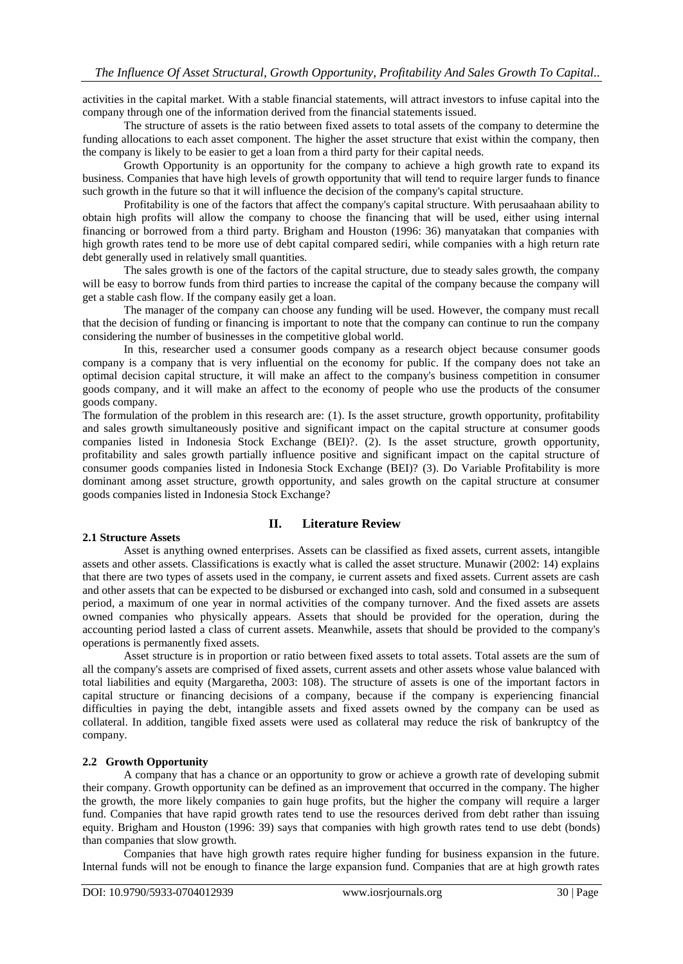activities in the capital market. With a stable financial statements, will attract investors to infuse capital into the company through one of the information derived from the financial statements issued.

The structure of assets is the ratio between fixed assets to total assets of the company to determine the funding allocations to each asset component. The higher the asset structure that exist within the company, then the company is likely to be easier to get a loan from a third party for their capital needs.

Growth Opportunity is an opportunity for the company to achieve a high growth rate to expand its business. Companies that have high levels of growth opportunity that will tend to require larger funds to finance such growth in the future so that it will influence the decision of the company's capital structure.

Profitability is one of the factors that affect the company's capital structure. With perusaahaan ability to obtain high profits will allow the company to choose the financing that will be used, either using internal financing or borrowed from a third party. Brigham and Houston (1996: 36) manyatakan that companies with high growth rates tend to be more use of debt capital compared sediri, while companies with a high return rate debt generally used in relatively small quantities.

The sales growth is one of the factors of the capital structure, due to steady sales growth, the company will be easy to borrow funds from third parties to increase the capital of the company because the company will get a stable cash flow. If the company easily get a loan.

The manager of the company can choose any funding will be used. However, the company must recall that the decision of funding or financing is important to note that the company can continue to run the company considering the number of businesses in the competitive global world.

In this, researcher used a consumer goods company as a research object because consumer goods company is a company that is very influential on the economy for public. If the company does not take an optimal decision capital structure, it will make an affect to the company's business competition in consumer goods company, and it will make an affect to the economy of people who use the products of the consumer goods company.

The formulation of the problem in this research are: (1). Is the asset structure, growth opportunity, profitability and sales growth simultaneously positive and significant impact on the capital structure at consumer goods companies listed in Indonesia Stock Exchange (BEI)?. (2). Is the asset structure, growth opportunity, profitability and sales growth partially influence positive and significant impact on the capital structure of consumer goods companies listed in Indonesia Stock Exchange (BEI)? (3). Do Variable Profitability is more dominant among asset structure, growth opportunity, and sales growth on the capital structure at consumer goods companies listed in Indonesia Stock Exchange?

# **2.1 Structure Assets**

# **II. Literature Review**

Asset is anything owned enterprises. Assets can be classified as fixed assets, current assets, intangible assets and other assets. Classifications is exactly what is called the asset structure. Munawir (2002: 14) explains that there are two types of assets used in the company, ie current assets and fixed assets. Current assets are cash and other assets that can be expected to be disbursed or exchanged into cash, sold and consumed in a subsequent period, a maximum of one year in normal activities of the company turnover. And the fixed assets are assets owned companies who physically appears. Assets that should be provided for the operation, during the accounting period lasted a class of current assets. Meanwhile, assets that should be provided to the company's operations is permanently fixed assets.

Asset structure is in proportion or ratio between fixed assets to total assets. Total assets are the sum of all the company's assets are comprised of fixed assets, current assets and other assets whose value balanced with total liabilities and equity (Margaretha, 2003: 108). The structure of assets is one of the important factors in capital structure or financing decisions of a company, because if the company is experiencing financial difficulties in paying the debt, intangible assets and fixed assets owned by the company can be used as collateral. In addition, tangible fixed assets were used as collateral may reduce the risk of bankruptcy of the company.

# **2.2 Growth Opportunity**

A company that has a chance or an opportunity to grow or achieve a growth rate of developing submit their company. Growth opportunity can be defined as an improvement that occurred in the company. The higher the growth, the more likely companies to gain huge profits, but the higher the company will require a larger fund. Companies that have rapid growth rates tend to use the resources derived from debt rather than issuing equity. Brigham and Houston (1996: 39) says that companies with high growth rates tend to use debt (bonds) than companies that slow growth.

Companies that have high growth rates require higher funding for business expansion in the future. Internal funds will not be enough to finance the large expansion fund. Companies that are at high growth rates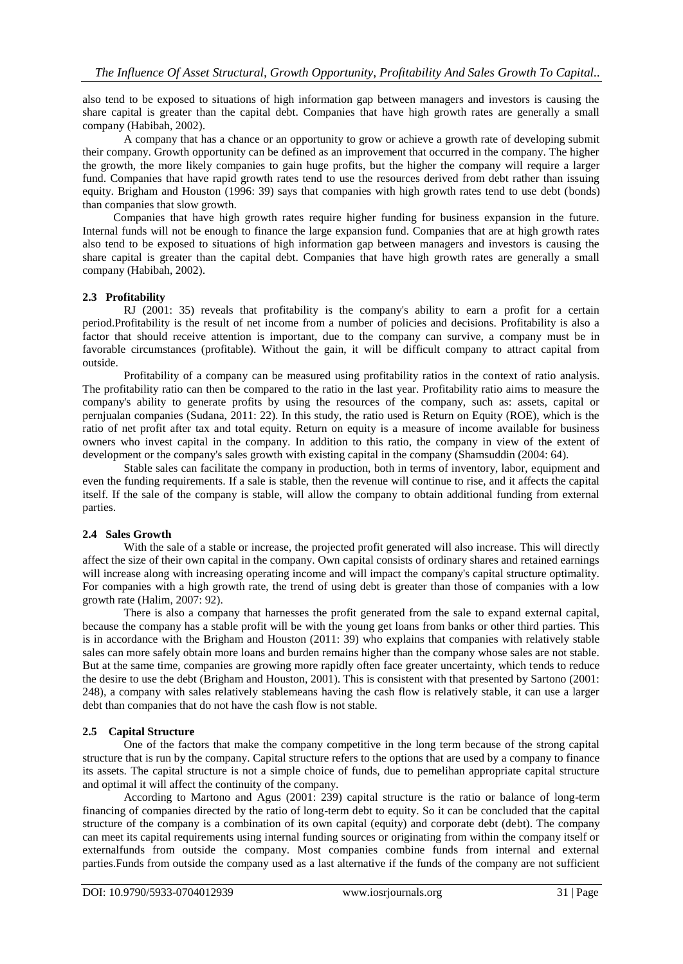also tend to be exposed to situations of high information gap between managers and investors is causing the share capital is greater than the capital debt. Companies that have high growth rates are generally a small company (Habibah, 2002).

A company that has a chance or an opportunity to grow or achieve a growth rate of developing submit their company. Growth opportunity can be defined as an improvement that occurred in the company. The higher the growth, the more likely companies to gain huge profits, but the higher the company will require a larger fund. Companies that have rapid growth rates tend to use the resources derived from debt rather than issuing equity. Brigham and Houston (1996: 39) says that companies with high growth rates tend to use debt (bonds) than companies that slow growth.

Companies that have high growth rates require higher funding for business expansion in the future. Internal funds will not be enough to finance the large expansion fund. Companies that are at high growth rates also tend to be exposed to situations of high information gap between managers and investors is causing the share capital is greater than the capital debt. Companies that have high growth rates are generally a small company (Habibah, 2002).

# **2.3 Profitability**

RJ (2001: 35) reveals that profitability is the company's ability to earn a profit for a certain period.Profitability is the result of net income from a number of policies and decisions. Profitability is also a factor that should receive attention is important, due to the company can survive, a company must be in favorable circumstances (profitable). Without the gain, it will be difficult company to attract capital from outside.

Profitability of a company can be measured using profitability ratios in the context of ratio analysis. The profitability ratio can then be compared to the ratio in the last year. Profitability ratio aims to measure the company's ability to generate profits by using the resources of the company, such as: assets, capital or pernjualan companies (Sudana, 2011: 22). In this study, the ratio used is Return on Equity (ROE), which is the ratio of net profit after tax and total equity. Return on equity is a measure of income available for business owners who invest capital in the company. In addition to this ratio, the company in view of the extent of development or the company's sales growth with existing capital in the company (Shamsuddin (2004: 64).

Stable sales can facilitate the company in production, both in terms of inventory, labor, equipment and even the funding requirements. If a sale is stable, then the revenue will continue to rise, and it affects the capital itself. If the sale of the company is stable, will allow the company to obtain additional funding from external parties.

# **2.4 Sales Growth**

With the sale of a stable or increase, the projected profit generated will also increase. This will directly affect the size of their own capital in the company. Own capital consists of ordinary shares and retained earnings will increase along with increasing operating income and will impact the company's capital structure optimality. For companies with a high growth rate, the trend of using debt is greater than those of companies with a low growth rate (Halim, 2007: 92).

There is also a company that harnesses the profit generated from the sale to expand external capital, because the company has a stable profit will be with the young get loans from banks or other third parties. This is in accordance with the Brigham and Houston (2011: 39) who explains that companies with relatively stable sales can more safely obtain more loans and burden remains higher than the company whose sales are not stable. But at the same time, companies are growing more rapidly often face greater uncertainty, which tends to reduce the desire to use the debt (Brigham and Houston, 2001). This is consistent with that presented by Sartono (2001: 248), a company with sales relatively stablemeans having the cash flow is relatively stable, it can use a larger debt than companies that do not have the cash flow is not stable.

## **2.5 Capital Structure**

One of the factors that make the company competitive in the long term because of the strong capital structure that is run by the company. Capital structure refers to the options that are used by a company to finance its assets. The capital structure is not a simple choice of funds, due to pemelihan appropriate capital structure and optimal it will affect the continuity of the company.

According to Martono and Agus (2001: 239) capital structure is the ratio or balance of long-term financing of companies directed by the ratio of long-term debt to equity. So it can be concluded that the capital structure of the company is a combination of its own capital (equity) and corporate debt (debt). The company can meet its capital requirements using internal funding sources or originating from within the company itself or externalfunds from outside the company. Most companies combine funds from internal and external parties.Funds from outside the company used as a last alternative if the funds of the company are not sufficient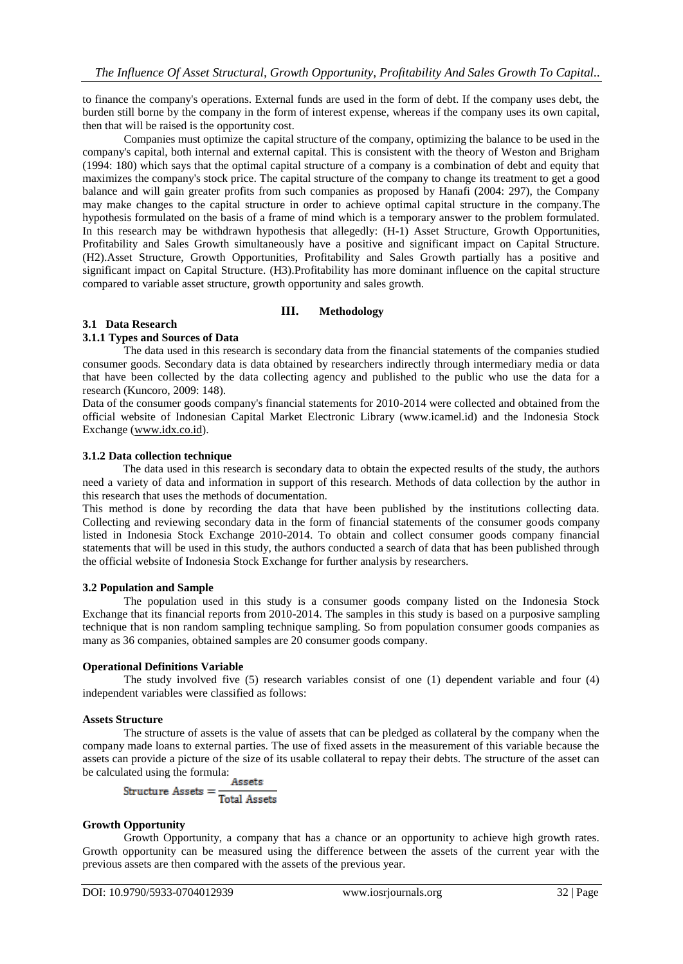to finance the company's operations. External funds are used in the form of debt. If the company uses debt, the burden still borne by the company in the form of interest expense, whereas if the company uses its own capital, then that will be raised is the opportunity cost.

Companies must optimize the capital structure of the company, optimizing the balance to be used in the company's capital, both internal and external capital. This is consistent with the theory of Weston and Brigham (1994: 180) which says that the optimal capital structure of a company is a combination of debt and equity that maximizes the company's stock price. The capital structure of the company to change its treatment to get a good balance and will gain greater profits from such companies as proposed by Hanafi (2004: 297), the Company may make changes to the capital structure in order to achieve optimal capital structure in the company.The hypothesis formulated on the basis of a frame of mind which is a temporary answer to the problem formulated. In this research may be withdrawn hypothesis that allegedly: (H-1) Asset Structure, Growth Opportunities, Profitability and Sales Growth simultaneously have a positive and significant impact on Capital Structure. (H2).Asset Structure, Growth Opportunities, Profitability and Sales Growth partially has a positive and significant impact on Capital Structure. (H3).Profitability has more dominant influence on the capital structure compared to variable asset structure, growth opportunity and sales growth.

# **III. Methodology**

# **3.1 Data Research**

# **3.1.1 Types and Sources of Data**

The data used in this research is secondary data from the financial statements of the companies studied consumer goods. Secondary data is data obtained by researchers indirectly through intermediary media or data that have been collected by the data collecting agency and published to the public who use the data for a research (Kuncoro, 2009: 148).

Data of the consumer goods company's financial statements for 2010-2014 were collected and obtained from the official website of Indonesian Capital Market Electronic Library (www.icamel.id) and the Indonesia Stock Exchange [\(www.idx.co.id\)](http://www.idx.co.id/).

## **3.1.2 Data collection technique**

The data used in this research is secondary data to obtain the expected results of the study, the authors need a variety of data and information in support of this research. Methods of data collection by the author in this research that uses the methods of documentation.

This method is done by recording the data that have been published by the institutions collecting data. Collecting and reviewing secondary data in the form of financial statements of the consumer goods company listed in Indonesia Stock Exchange 2010-2014. To obtain and collect consumer goods company financial statements that will be used in this study, the authors conducted a search of data that has been published through the official website of Indonesia Stock Exchange for further analysis by researchers.

# **3.2 Population and Sample**

The population used in this study is a consumer goods company listed on the Indonesia Stock Exchange that its financial reports from 2010-2014. The samples in this study is based on a purposive sampling technique that is non random sampling technique sampling. So from population consumer goods companies as many as 36 companies, obtained samples are 20 consumer goods company.

## **Operational Definitions Variable**

The study involved five (5) research variables consist of one (1) dependent variable and four (4) independent variables were classified as follows:

## **Assets Structure**

The structure of assets is the value of assets that can be pledged as collateral by the company when the company made loans to external parties. The use of fixed assets in the measurement of this variable because the assets can provide a picture of the size of its usable collateral to repay their debts. The structure of the asset can be calculated using the formula:

$$
Structure\,\,Assets = \frac{Assets}{Total\,\,Assets}
$$

# **Growth Opportunity**

Growth Opportunity, a company that has a chance or an opportunity to achieve high growth rates. Growth opportunity can be measured using the difference between the assets of the current year with the previous assets are then compared with the assets of the previous year.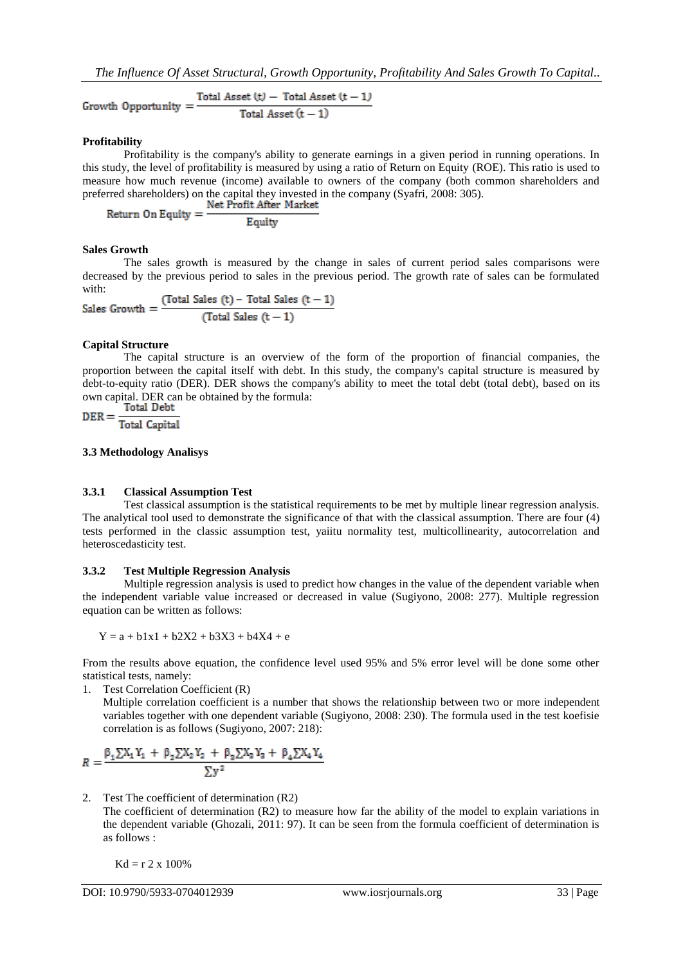$$
Growth \text{ Operator} \text{t} = \frac{\text{Total Asset (t)} - \text{Total Asset (t - 1)}}{\text{Total Asset (t - 1)}}
$$

# **Profitability**

Profitability is the company's ability to generate earnings in a given period in running operations. In this study, the level of profitability is measured by using a ratio of Return on Equity (ROE). This ratio is used to measure how much revenue (income) available to owners of the company (both common shareholders and preferred shareholders) on the capital they invested in the company (Syafri, 2008: 305).<br>Net Profit After Market

Return On Equity  $=$ Equity

## **Sales Growth**

The sales growth is measured by the change in sales of current period sales comparisons were decreased by the previous period to sales in the previous period. The growth rate of sales can be formulated with:

Sales Growth = 
$$
\frac{\text{(Total Sales (t) - Total Sales (t - 1)}}{\text{(Total Sales (t - 1)}}
$$

# **Capital Structure**

The capital structure is an overview of the form of the proportion of financial companies, the proportion between the capital itself with debt. In this study, the company's capital structure is measured by debt-to-equity ratio (DER). DER shows the company's ability to meet the total debt (total debt), based on its own capital. DER can be obtained by the formula:

$$
DER = \frac{Total \t Det}{Total \t Capital}
$$

## **3.3 Methodology Analisys**

## **3.3.1 Classical Assumption Test**

Test classical assumption is the statistical requirements to be met by multiple linear regression analysis. The analytical tool used to demonstrate the significance of that with the classical assumption. There are four (4) tests performed in the classic assumption test, yaiitu normality test, multicollinearity, autocorrelation and heteroscedasticity test.

## **3.3.2 Test Multiple Regression Analysis**

Multiple regression analysis is used to predict how changes in the value of the dependent variable when the independent variable value increased or decreased in value (Sugiyono, 2008: 277). Multiple regression equation can be written as follows:

$$
Y = a + b1x1 + b2X2 + b3X3 + b4X4 + e
$$

From the results above equation, the confidence level used 95% and 5% error level will be done some other statistical tests, namely:

1. Test Correlation Coefficient (R)

Multiple correlation coefficient is a number that shows the relationship between two or more independent variables together with one dependent variable (Sugiyono, 2008: 230). The formula used in the test koefisie correlation is as follows (Sugiyono, 2007: 218):

$$
\textit{R} = \frac{\beta_1 \sum X_1 \, Y_1 \ + \ \beta_2 \sum X_2 \, Y_2 \ + \ \beta_3 \sum X_3 \, Y_3 \ + \ \beta_4 \sum X_4 \, Y_4}{{\sum y^2}}
$$

2. Test The coefficient of determination (R2)

The coefficient of determination (R2) to measure how far the ability of the model to explain variations in the dependent variable (Ghozali, 2011: 97). It can be seen from the formula coefficient of determination is as follows :

$$
Kd = r 2 \times 100\%
$$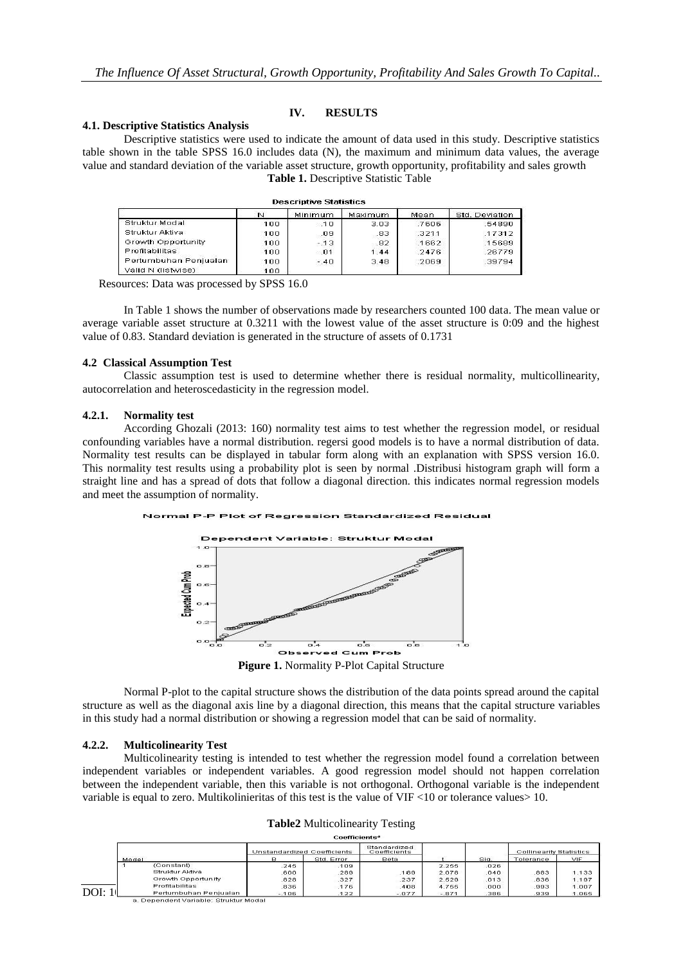#### **IV. RESULTS**

#### **4.1. Descriptive Statistics Analysis**

Descriptive statistics were used to indicate the amount of data used in this study. Descriptive statistics table shown in the table SPSS 16.0 includes data (N), the maximum and minimum data values, the average value and standard deviation of the variable asset structure, growth opportunity, profitability and sales growth **Table 1.** Descriptive Statistic Table

|                       |     | <b>Descriptive Statistics</b> |         |       |                |
|-----------------------|-----|-------------------------------|---------|-------|----------------|
|                       | N   | Minimum                       | Maximum | Mean  | Std. Deviation |
| Struktur Modal        | 100 | .10                           | 3.03    | .7606 | .54890         |
| Struktur Aktiva       | 100 | .09                           | .83     | .3211 | .17312         |
| Growth Opportunity    | 100 | $-0.13$                       | .82     | .1662 | .15689         |
| <b>Profitabilitas</b> | 100 | .01                           | 1.44    | .2476 | .26779         |
| Pertumbuhan Penjualan | 100 | $-.40$                        | 3.48    | .2069 | .39794         |
| Valid N (listwise)    | 100 |                               |         |       |                |

Resources: Data was processed by SPSS 16.0

In Table 1 shows the number of observations made by researchers counted 100 data. The mean value or average variable asset structure at 0.3211 with the lowest value of the asset structure is 0:09 and the highest value of 0.83. Standard deviation is generated in the structure of assets of 0.1731

#### **4.2 Classical Assumption Test**

Classic assumption test is used to determine whether there is residual normality, multicollinearity, autocorrelation and heteroscedasticity in the regression model.

#### **4.2.1. Normality test**

According Ghozali (2013: 160) normality test aims to test whether the regression model, or residual confounding variables have a normal distribution. regersi good models is to have a normal distribution of data. Normality test results can be displayed in tabular form along with an explanation with SPSS version 16.0. This normality test results using a probability plot is seen by normal .Distribusi histogram graph will form a straight line and has a spread of dots that follow a diagonal direction. this indicates normal regression models and meet the assumption of normality.

#### Normal P-P Plot of Regression Standardized Residual



**Pigure 1.** Normality P-Plot Capital Structure

Normal P-plot to the capital structure shows the distribution of the data points spread around the capital structure as well as the diagonal axis line by a diagonal direction, this means that the capital structure variables in this study had a normal distribution or showing a regression model that can be said of normality.

### **4.2.2. Multicolinearity Test**

Multicolinearity testing is intended to test whether the regression model found a correlation between independent variables or independent variables. A good regression model should not happen correlation between the independent variable, then this variable is not orthogonal. Orthogonal variable is the independent variable is equal to zero. Multikolinieritas of this test is the value of VIF <10 or tolerance values> 10.

**Table2** Multicolinearity Testing

|       |                       |                             | Coemcients" |                              |         |      |                         |            |
|-------|-----------------------|-----------------------------|-------------|------------------------------|---------|------|-------------------------|------------|
|       |                       | Unstandardized Coefficients |             | Standardized<br>Coefficients |         |      | Collinearity Statistics |            |
| Model |                       |                             | Std. Error  | Beta                         |         | Sig. | Tolerance               | <b>VIF</b> |
|       | (Constant)            | 245                         | 109         |                              | 2.255   | 026  |                         |            |
|       | Struktur Aktiva       | 600                         | .289        | .189                         | 2.078   | 040  | .883                    | 1.133      |
|       | Growth Opportunity    | 828                         | .327        | .237                         | 2.529   | .013 | .836                    | 1.197      |
|       | Profitabilitas        | 836                         | 176         | .408                         | 4.755   | 000. | 993                     | 1.007      |
|       | Pertumbuhan Penjualan | $-.106$                     | .122        | $-.077$                      | $-.871$ | 386  | .939                    | 1.065      |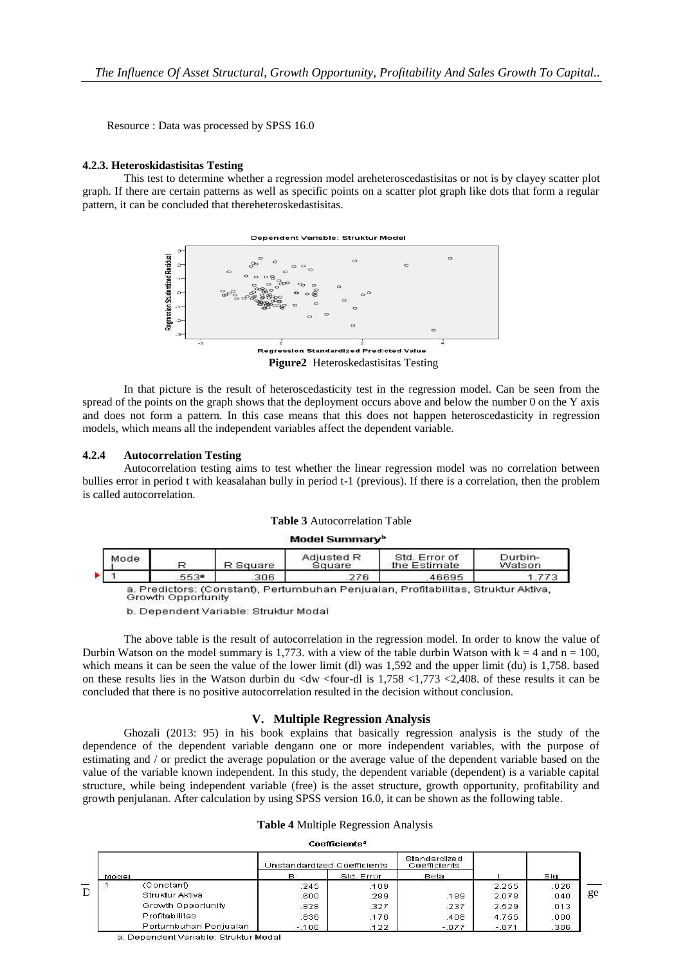Resource : Data was processed by SPSS 16.0

#### **4.2.3. Heteroskidastisitas Testing**

This test to determine whether a regression model areheteroscedastisitas or not is by clayey scatter plot graph. If there are certain patterns as well as specific points on a scatter plot graph like dots that form a regular pattern, it can be concluded that thereheteroskedastisitas.



In that picture is the result of heteroscedasticity test in the regression model. Can be seen from the spread of the points on the graph shows that the deployment occurs above and below the number 0 on the Y axis and does not form a pattern. In this case means that this does not happen heteroscedasticity in regression models, which means all the independent variables affect the dependent variable.

#### **4.2.4 Autocorrelation Testing**

Þ

Autocorrelation testing aims to test whether the linear regression model was no correlation between bullies error in period t with keasalahan bully in period t-1 (previous). If there is a correlation, then the problem is called autocorrelation.

# **Table 3** Autocorrelation Table

#### Model Summary<sup>b</sup>

| Mode | R     | R Square | Adjusted R<br>Square | Std. Error of<br>the Estimate | Durbin-<br>Watson |
|------|-------|----------|----------------------|-------------------------------|-------------------|
|      | .553* | 306      | .276                 | 46695                         | .773              |

a. Predictors: (Constant), Pertumbuhan Penjualan, Profitabilitas, Struktur Aktiva, Growth Opportunity

b. Dependent Variable: Struktur Modal

The above table is the result of autocorrelation in the regression model. In order to know the value of Durbin Watson on the model summary is 1,773, with a view of the table durbin Watson with  $k = 4$  and  $n = 100$ , which means it can be seen the value of the lower limit (dl) was 1,592 and the upper limit (du) is 1,758. based on these results lies in the Watson durbin du  $\langle$ dw  $\langle$ four-dl is 1,758  $\langle$ 1,773  $\langle$ 2,408. of these results it can be concluded that there is no positive autocorrelation resulted in the decision without conclusion.

### **V. Multiple Regression Analysis**

Ghozali (2013: 95) in his book explains that basically regression analysis is the study of the dependence of the dependent variable dengann one or more independent variables, with the purpose of estimating and / or predict the average population or the average value of the dependent variable based on the value of the variable known independent. In this study, the dependent variable (dependent) is a variable capital structure, while being independent variable (free) is the asset structure, growth opportunity, profitability and growth penjulanan. After calculation by using SPSS version 16.0, it can be shown as the following table.

#### **Table 4** Multiple Regression Analysis

Coefficients<sup>3</sup>

|   |                       | Unstandardized Coefficients |            | Standardized<br>Coefficients |         |      |
|---|-----------------------|-----------------------------|------------|------------------------------|---------|------|
|   | Model                 | в                           | Std. Error | Beta                         |         | Sig. |
| D | (Constant)            | .245                        | .109       |                              | 2.255   | .026 |
|   | Struktur Aktiva       | .600                        | .289       | .189                         | 2.078   | .040 |
|   | Growth Opportunity    | .828                        | .327       | .237                         | 2.529   | .013 |
|   | Profitabilitas        | .836                        | .176       | 408                          | 4.755   | .000 |
|   | Pertumbuhan Penjualan | $-.106$                     | 122        | $-.077$                      | $-.871$ | .386 |

a. Dependent Variable: Struktur Modal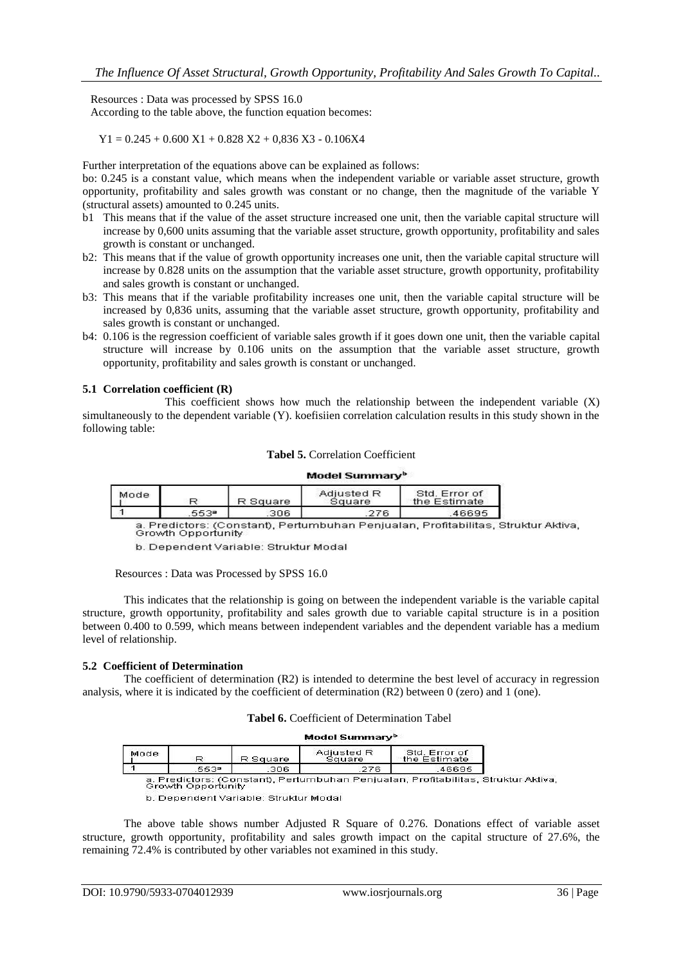Resources : Data was processed by SPSS 16.0

According to the table above, the function equation becomes:

 $Y1 = 0.245 + 0.600 \text{ X}1 + 0.828 \text{ X}2 + 0.836 \text{ X}3 - 0.106 \text{ X}4$ 

Further interpretation of the equations above can be explained as follows:

bo: 0.245 is a constant value, which means when the independent variable or variable asset structure, growth opportunity, profitability and sales growth was constant or no change, then the magnitude of the variable Y (structural assets) amounted to 0.245 units.

- b1 This means that if the value of the asset structure increased one unit, then the variable capital structure will increase by 0,600 units assuming that the variable asset structure, growth opportunity, profitability and sales growth is constant or unchanged.
- b2: This means that if the value of growth opportunity increases one unit, then the variable capital structure will increase by 0.828 units on the assumption that the variable asset structure, growth opportunity, profitability and sales growth is constant or unchanged.
- b3: This means that if the variable profitability increases one unit, then the variable capital structure will be increased by 0,836 units, assuming that the variable asset structure, growth opportunity, profitability and sales growth is constant or unchanged.
- b4: 0.106 is the regression coefficient of variable sales growth if it goes down one unit, then the variable capital structure will increase by 0.106 units on the assumption that the variable asset structure, growth opportunity, profitability and sales growth is constant or unchanged.

# **5.1 Correlation coefficient (R)**

This coefficient shows how much the relationship between the independent variable  $(X)$ simultaneously to the dependent variable (Y). koefisiien correlation calculation results in this study shown in the following table:

## **Tabel 5.** Correlation Coefficient

#### Model Summary<sup>b</sup>

| Mode |      | R Square | Adjusted R<br>Square | Std. Error of<br>the Estimate |
|------|------|----------|----------------------|-------------------------------|
|      | 5539 | 306      | 276                  | 46695                         |

a. Predictors: (Constant), Pertumbuhan Penjualan, Profitabilitas, Struktur Aktiva,<br>Growth Opportunity

b. Dependent Variable: Struktur Modal

Resources : Data was Processed by SPSS 16.0

This indicates that the relationship is going on between the independent variable is the variable capital structure, growth opportunity, profitability and sales growth due to variable capital structure is in a position between 0.400 to 0.599, which means between independent variables and the dependent variable has a medium level of relationship.

## **5.2 Coefficient of Determination**

The coefficient of determination (R2) is intended to determine the best level of accuracy in regression analysis, where it is indicated by the coefficient of determination (R2) between 0 (zero) and 1 (one).

#### **Tabel 6.** Coefficient of Determination Tabel  $\sim$  . The same components of  $\mathbb{R}$

| Model Summary" |       |          |                      |                               |  |
|----------------|-------|----------|----------------------|-------------------------------|--|
| Mode           |       | R Square | Adjusted R<br>Square | Std. Error of<br>the Estimate |  |
|                | .553. | 306      | 276                  | .46695                        |  |

a. Predictors: (Constant), Pertumbuhan Penjualan, Profitabilitas, Struktur Aktiva,<br>Growth Opportunity

b. Dependent Variable: Struktur Modal

The above table shows number Adjusted R Square of 0.276. Donations effect of variable asset structure, growth opportunity, profitability and sales growth impact on the capital structure of 27.6%, the remaining 72.4% is contributed by other variables not examined in this study.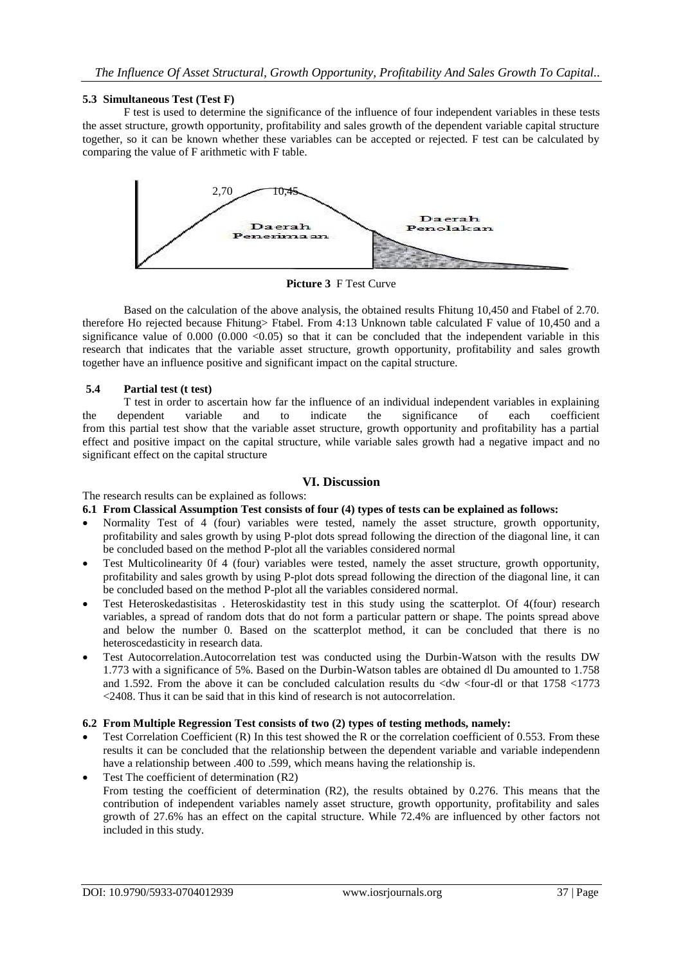# **5.3 Simultaneous Test (Test F)**

F test is used to determine the significance of the influence of four independent variables in these tests the asset structure, growth opportunity, profitability and sales growth of the dependent variable capital structure together, so it can be known whether these variables can be accepted or rejected. F test can be calculated by comparing the value of F arithmetic with F table.



**Picture 3** F Test Curve

Based on the calculation of the above analysis, the obtained results Fhitung 10,450 and Ftabel of 2.70. therefore Ho rejected because Fhitung> Ftabel. From 4:13 Unknown table calculated F value of 10,450 and a significance value of 0.000 (0.000  $\langle 0.005 \rangle$  so that it can be concluded that the independent variable in this research that indicates that the variable asset structure, growth opportunity, profitability and sales growth together have an influence positive and significant impact on the capital structure.

# **5.4 Partial test (t test)**

T test in order to ascertain how far the influence of an individual independent variables in explaining the dependent variable and to indicate the significance of each coefficient from this partial test show that the variable asset structure, growth opportunity and profitability has a partial effect and positive impact on the capital structure, while variable sales growth had a negative impact and no significant effect on the capital structure

# **VI. Discussion**

The research results can be explained as follows:

**6.1 From Classical Assumption Test consists of four (4) types of tests can be explained as follows:**

- Normality Test of 4 (four) variables were tested, namely the asset structure, growth opportunity, profitability and sales growth by using P-plot dots spread following the direction of the diagonal line, it can be concluded based on the method P-plot all the variables considered normal
- Test Multicolinearity 0f 4 (four) variables were tested, namely the asset structure, growth opportunity, profitability and sales growth by using P-plot dots spread following the direction of the diagonal line, it can be concluded based on the method P-plot all the variables considered normal.
- Test Heteroskedastisitas . Heteroskidastity test in this study using the scatterplot. Of 4(four) research variables, a spread of random dots that do not form a particular pattern or shape. The points spread above and below the number 0. Based on the scatterplot method, it can be concluded that there is no heteroscedasticity in research data.
- Test Autocorrelation.Autocorrelation test was conducted using the Durbin-Watson with the results DW 1.773 with a significance of 5%. Based on the Durbin-Watson tables are obtained dl Du amounted to 1.758 and 1.592. From the above it can be concluded calculation results du <dw <four-dl or that 1758 <1773 <2408. Thus it can be said that in this kind of research is not autocorrelation.

## **6.2 From Multiple Regression Test consists of two (2) types of testing methods, namely:**

- Test Correlation Coefficient (R) In this test showed the R or the correlation coefficient of 0.553. From these results it can be concluded that the relationship between the dependent variable and variable independenn have a relationship between .400 to .599, which means having the relationship is.
- Test The coefficient of determination (R2) From testing the coefficient of determination (R2), the results obtained by 0.276. This means that the contribution of independent variables namely asset structure, growth opportunity, profitability and sales growth of 27.6% has an effect on the capital structure. While 72.4% are influenced by other factors not included in this study.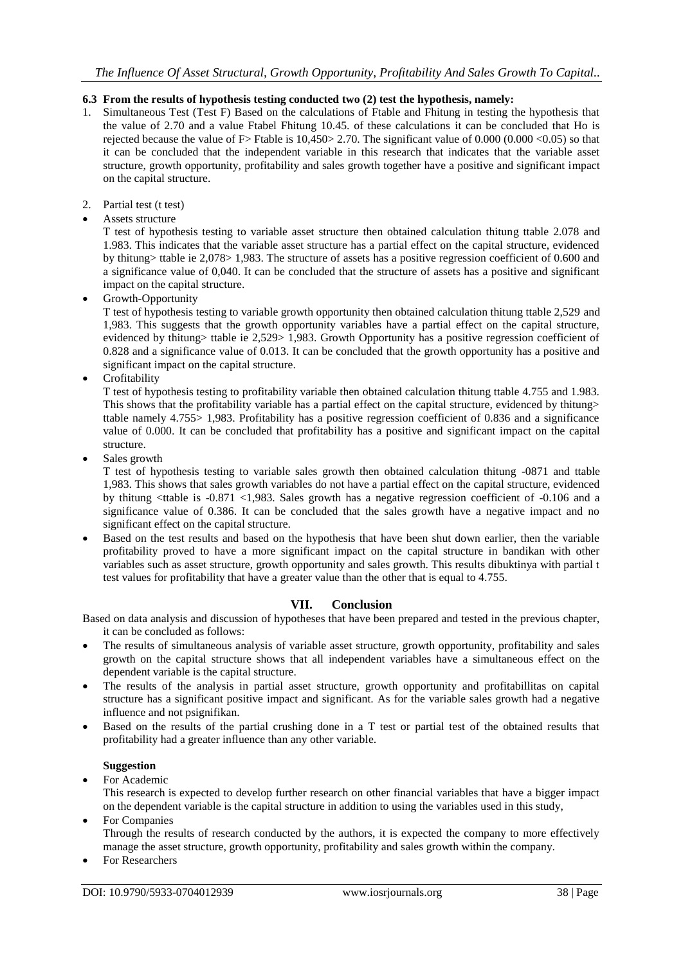# *The Influence Of Asset Structural, Growth Opportunity, Profitability And Sales Growth To Capital..*

# **6.3 From the results of hypothesis testing conducted two (2) test the hypothesis, namely:**

- 1. Simultaneous Test (Test F) Based on the calculations of Ftable and Fhitung in testing the hypothesis that the value of 2.70 and a value Ftabel Fhitung 10.45. of these calculations it can be concluded that Ho is rejected because the value of F> Ftable is 10,450> 2.70. The significant value of 0.000 (0.000 <0.05) so that it can be concluded that the independent variable in this research that indicates that the variable asset structure, growth opportunity, profitability and sales growth together have a positive and significant impact on the capital structure.
- 2. Partial test (t test)
- Assets structure

T test of hypothesis testing to variable asset structure then obtained calculation thitung ttable 2.078 and 1.983. This indicates that the variable asset structure has a partial effect on the capital structure, evidenced by thitung> ttable ie 2,078> 1,983. The structure of assets has a positive regression coefficient of 0.600 and a significance value of 0,040. It can be concluded that the structure of assets has a positive and significant impact on the capital structure.

Growth-Opportunity

T test of hypothesis testing to variable growth opportunity then obtained calculation thitung ttable 2,529 and 1,983. This suggests that the growth opportunity variables have a partial effect on the capital structure, evidenced by thitung> ttable ie 2,529> 1,983. Growth Opportunity has a positive regression coefficient of 0.828 and a significance value of 0.013. It can be concluded that the growth opportunity has a positive and significant impact on the capital structure.

Crofitability

T test of hypothesis testing to profitability variable then obtained calculation thitung ttable 4.755 and 1.983. This shows that the profitability variable has a partial effect on the capital structure, evidenced by thitung> ttable namely 4.755> 1,983. Profitability has a positive regression coefficient of 0.836 and a significance value of 0.000. It can be concluded that profitability has a positive and significant impact on the capital structure.

Sales growth

T test of hypothesis testing to variable sales growth then obtained calculation thitung -0871 and ttable 1,983. This shows that sales growth variables do not have a partial effect on the capital structure, evidenced by thitung <ttable is -0.871 <1,983. Sales growth has a negative regression coefficient of -0.106 and a significance value of 0.386. It can be concluded that the sales growth have a negative impact and no significant effect on the capital structure.

 Based on the test results and based on the hypothesis that have been shut down earlier, then the variable profitability proved to have a more significant impact on the capital structure in bandikan with other variables such as asset structure, growth opportunity and sales growth. This results dibuktinya with partial t test values for profitability that have a greater value than the other that is equal to 4.755.

# **VII. Conclusion**

Based on data analysis and discussion of hypotheses that have been prepared and tested in the previous chapter, it can be concluded as follows:

- The results of simultaneous analysis of variable asset structure, growth opportunity, profitability and sales growth on the capital structure shows that all independent variables have a simultaneous effect on the dependent variable is the capital structure.
- The results of the analysis in partial asset structure, growth opportunity and profitabillitas on capital structure has a significant positive impact and significant. As for the variable sales growth had a negative influence and not psignifikan.
- Based on the results of the partial crushing done in a T test or partial test of the obtained results that profitability had a greater influence than any other variable.

## **Suggestion**

For Academic

This research is expected to develop further research on other financial variables that have a bigger impact on the dependent variable is the capital structure in addition to using the variables used in this study,

- For Companies Through the results of research conducted by the authors, it is expected the company to more effectively manage the asset structure, growth opportunity, profitability and sales growth within the company.
- For Researchers